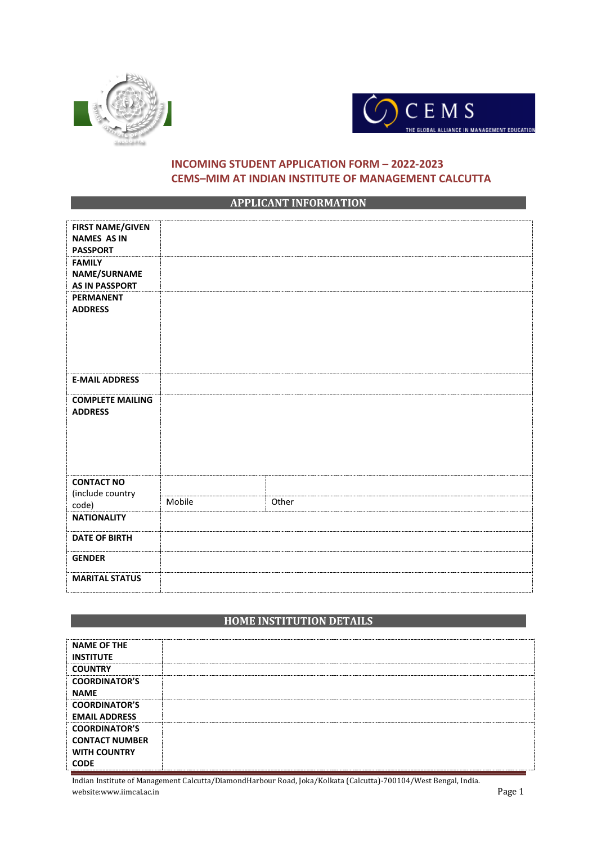



## **INCOMING STUDENT APPLICATION FORM – 2022-2023 CEMS–MIM AT INDIAN INSTITUTE OF MANAGEMENT CALCUTTA**

### **APPLICANT INFORMATION**

| <b>FIRST NAME/GIVEN</b><br><b>NAMES AS IN</b><br><b>PASSPORT</b> |        |       |
|------------------------------------------------------------------|--------|-------|
| <b>FAMILY</b><br><b>NAME/SURNAME</b><br><b>AS IN PASSPORT</b>    |        |       |
| <b>PERMANENT</b><br><b>ADDRESS</b>                               |        |       |
| <b>E-MAIL ADDRESS</b>                                            |        |       |
| <b>COMPLETE MAILING</b><br><b>ADDRESS</b>                        |        |       |
| <b>CONTACT NO</b>                                                |        |       |
| (include country<br>code)                                        | Mobile | Other |
| <b>NATIONALITY</b>                                               |        |       |
| <b>DATE OF BIRTH</b>                                             |        |       |
| <b>GENDER</b>                                                    |        |       |
| <b>MARITAL STATUS</b>                                            |        |       |

## **HOME INSTITUTION DETAILS**

| <b>NAME OF THE</b>    |  |
|-----------------------|--|
| <b>INSTITUTE</b>      |  |
| <b>COUNTRY</b>        |  |
| <b>COORDINATOR'S</b>  |  |
| <b>NAME</b>           |  |
| <b>COORDINATOR'S</b>  |  |
| <b>EMAIL ADDRESS</b>  |  |
| <b>COORDINATOR'S</b>  |  |
| <b>CONTACT NUMBER</b> |  |
| <b>WITH COUNTRY</b>   |  |
| <b>CODE</b>           |  |

Indian Institute of Management Calcutta/DiamondHarbour Road, Joka/Kolkata (Calcutta)-700104/West Bengal, India. website:www.iimcal.ac.in Page 1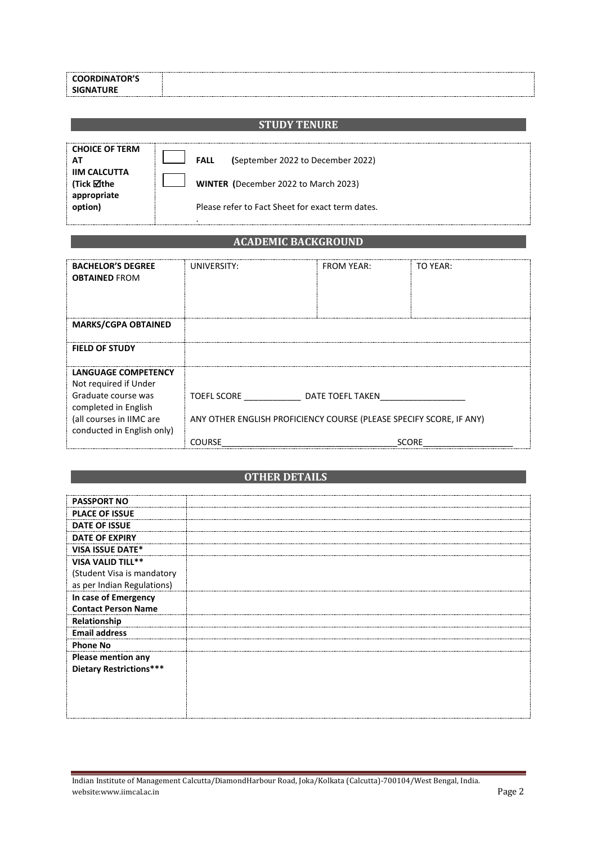| <b>COORDINATOR'S</b> |
|----------------------|
| <b>SIGNATURE</b>     |

## **STUDY TENURE**

| <b>CHOICE OF TERM</b> |                                                  |
|-----------------------|--------------------------------------------------|
| ΑТ                    | (September 2022 to December 2022)<br><b>FALL</b> |
| <b>IIM CALCUTTA</b>   |                                                  |
| (Tick ⊠the            | WINTER (December 2022 to March 2023)             |
| appropriate           |                                                  |
| option)               | Please refer to Fact Sheet for exact term dates. |
|                       |                                                  |

# **ACADEMIC BACKGROUND**

| <b>BACHELOR'S DEGREE</b>   | UNIVERSITY:                                                         | <b>FROM YEAR:</b> | TO YEAR:     |
|----------------------------|---------------------------------------------------------------------|-------------------|--------------|
| <b>OBTAINED FROM</b>       |                                                                     |                   |              |
|                            |                                                                     |                   |              |
|                            |                                                                     |                   |              |
| <b>MARKS/CGPA OBTAINED</b> |                                                                     |                   |              |
|                            |                                                                     |                   |              |
| <b>FIELD OF STUDY</b>      |                                                                     |                   |              |
|                            |                                                                     |                   |              |
| LANGUAGE COMPETENCY        |                                                                     |                   |              |
| Not required if Under      |                                                                     |                   |              |
| Graduate course was        | TOEFL SCORE TO                                                      | DATE TOEFL TAKEN  |              |
| completed in English       |                                                                     |                   |              |
| (all courses in IIMC are   | ANY OTHER ENGLISH PROFICIENCY COURSE (PLEASE SPECIFY SCORE, IF ANY) |                   |              |
| conducted in English only) |                                                                     |                   |              |
|                            | <b>COURSE</b>                                                       |                   | <b>SCORE</b> |

# **COTHER DETAILS**

| <b>PASSPORT NO</b>             |  |
|--------------------------------|--|
| <b>PLACE OF ISSUE</b>          |  |
| <b>DATE OF ISSUE</b>           |  |
| <b>DATE OF EXPIRY</b>          |  |
| <b>VISA ISSUE DATE*</b>        |  |
| VISA VALID TILL**              |  |
| (Student Visa is mandatory     |  |
| as per Indian Regulations)     |  |
| In case of Emergency           |  |
| <b>Contact Person Name</b>     |  |
| Relationship                   |  |
| <b>Email address</b>           |  |
| <b>Phone No</b>                |  |
| Please mention any             |  |
| <b>Dietary Restrictions***</b> |  |
|                                |  |
|                                |  |
|                                |  |
|                                |  |